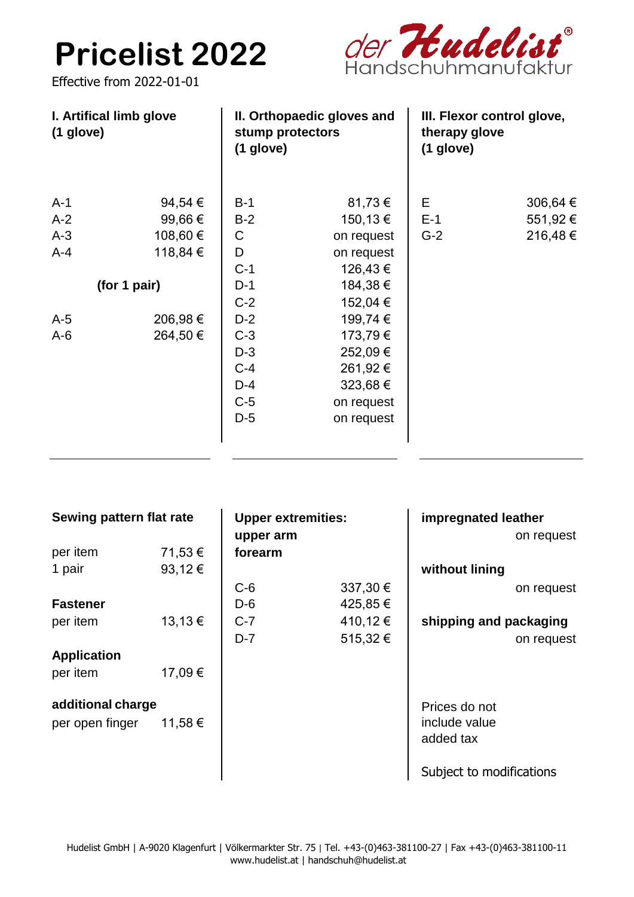## **Pricelist 2022**

der Hudelist®

Effective from 2022-01-01

| I. Artifical limb glove<br>$(1$ glove) |          | II. Orthopaedic gloves and<br>stump protectors<br>$(1$ glove) |            | III. Flexor control glove,<br>therapy glove<br>$(1$ glove) |          |
|----------------------------------------|----------|---------------------------------------------------------------|------------|------------------------------------------------------------|----------|
| $A-1$                                  | 94,54 €  | $B-1$                                                         | 81,73 €    | E                                                          | 306,64 € |
| $A-2$                                  | 99,66 €  | $B-2$                                                         | 150,13 €   | $E-1$                                                      | 551,92 € |
| $A-3$                                  | 108,60 € | C                                                             | on request | $G-2$                                                      | 216,48€  |
| $A-4$                                  | 118,84 € | D                                                             | on request |                                                            |          |
|                                        |          | $C-1$                                                         | 126,43 €   |                                                            |          |
| (for 1 pair)                           |          | $D-1$                                                         | 184,38 €   |                                                            |          |
|                                        |          | $C-2$                                                         | 152,04 €   |                                                            |          |
| $A-5$                                  | 206,98€  | $D-2$                                                         | 199,74 €   |                                                            |          |
| $A-6$                                  | 264,50 € | $C-3$                                                         | 173,79€    |                                                            |          |
|                                        |          | $D-3$                                                         | 252,09€    |                                                            |          |
|                                        |          | $C-4$                                                         | 261,92 €   |                                                            |          |
|                                        |          | $D-4$                                                         | 323,68 €   |                                                            |          |
|                                        |          | $C-5$                                                         | on request |                                                            |          |
|                                        |          | $D-5$                                                         | on request |                                                            |          |
|                                        |          |                                                               |            |                                                            |          |

| Sewing pattern flat rate |         | <b>Upper extremities:</b><br>upper arm |          | impregnated leather<br>on request |
|--------------------------|---------|----------------------------------------|----------|-----------------------------------|
| per item                 | 71,53 € | forearm                                |          |                                   |
| 1 pair                   | 93,12€  |                                        |          | without lining                    |
|                          |         | $C-6$                                  | 337,30 € | on request                        |
| <b>Fastener</b>          |         | $D-6$                                  | 425,85 € |                                   |
| per item                 | 13,13€  | $C-7$                                  | 410,12€  | shipping and packaging            |
|                          |         | $D-7$                                  | 515,32€  | on request                        |
| <b>Application</b>       |         |                                        |          |                                   |
| per item                 | 17,09€  |                                        |          |                                   |
|                          |         |                                        |          |                                   |
| additional charge        |         |                                        |          | Prices do not                     |
| per open finger          | 11,58 € |                                        |          | include value                     |
|                          |         |                                        |          | added tax                         |
|                          |         |                                        |          |                                   |
|                          |         |                                        |          | Subject to modifications          |